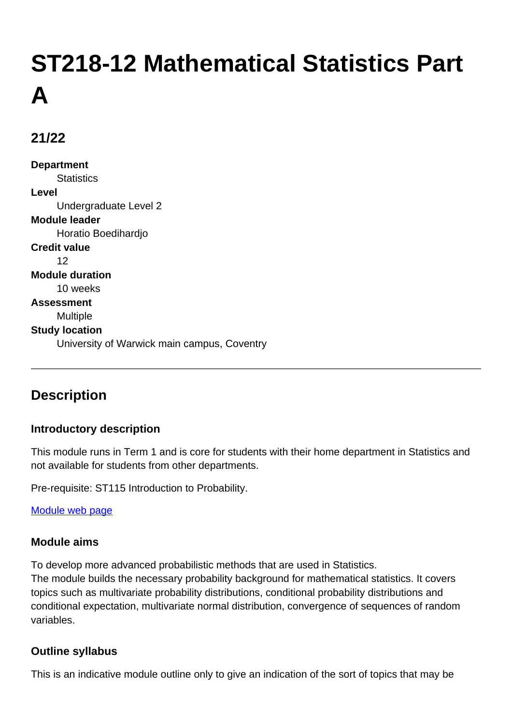# **ST218-12 Mathematical Statistics Part A**

# **21/22**

**Department Statistics Level** Undergraduate Level 2 **Module leader** Horatio Boedihardjo **Credit value** 12 **Module duration** 10 weeks **Assessment** Multiple **Study location** University of Warwick main campus, Coventry

# **Description**

### **Introductory description**

This module runs in Term 1 and is core for students with their home department in Statistics and not available for students from other departments.

Pre-requisite: ST115 Introduction to Probability.

### [Module web page](http://go.warwick.ac.uk/ST218)

### **Module aims**

To develop more advanced probabilistic methods that are used in Statistics. The module builds the necessary probability background for mathematical statistics. It covers topics such as multivariate probability distributions, conditional probability distributions and conditional expectation, multivariate normal distribution, convergence of sequences of random variables.

### **Outline syllabus**

This is an indicative module outline only to give an indication of the sort of topics that may be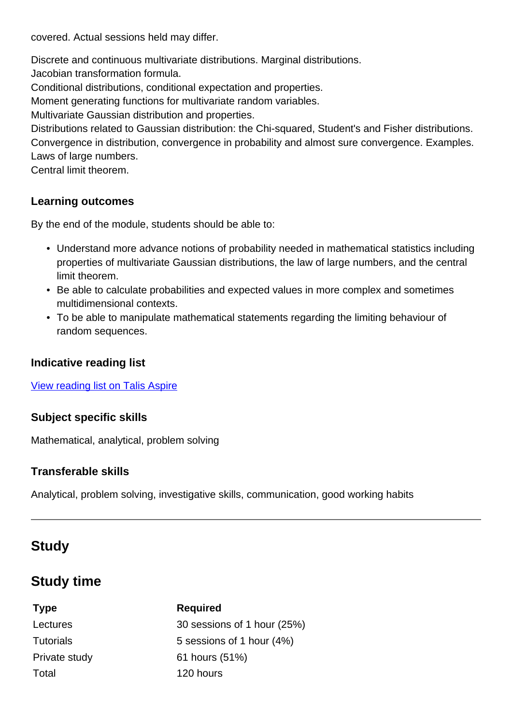covered. Actual sessions held may differ.

Discrete and continuous multivariate distributions. Marginal distributions.

Jacobian transformation formula.

Conditional distributions, conditional expectation and properties.

Moment generating functions for multivariate random variables.

Multivariate Gaussian distribution and properties.

Distributions related to Gaussian distribution: the Chi-squared, Student's and Fisher distributions. Convergence in distribution, convergence in probability and almost sure convergence. Examples. Laws of large numbers.

Central limit theorem.

### **Learning outcomes**

By the end of the module, students should be able to:

- Understand more advance notions of probability needed in mathematical statistics including properties of multivariate Gaussian distributions, the law of large numbers, and the central limit theorem.
- Be able to calculate probabilities and expected values in more complex and sometimes multidimensional contexts.
- To be able to manipulate mathematical statements regarding the limiting behaviour of random sequences.

### **Indicative reading list**

[View reading list on Talis Aspire](http://readinglists.warwick.ac.uk/modules/st218.html)

### **Subject specific skills**

Mathematical, analytical, problem solving

### **Transferable skills**

Analytical, problem solving, investigative skills, communication, good working habits

# **Study**

# **Study time**

Total 120 hours

# **Type Required** Lectures 30 sessions of 1 hour (25%) Tutorials **5** sessions of 1 hour (4%) Private study 61 hours (51%)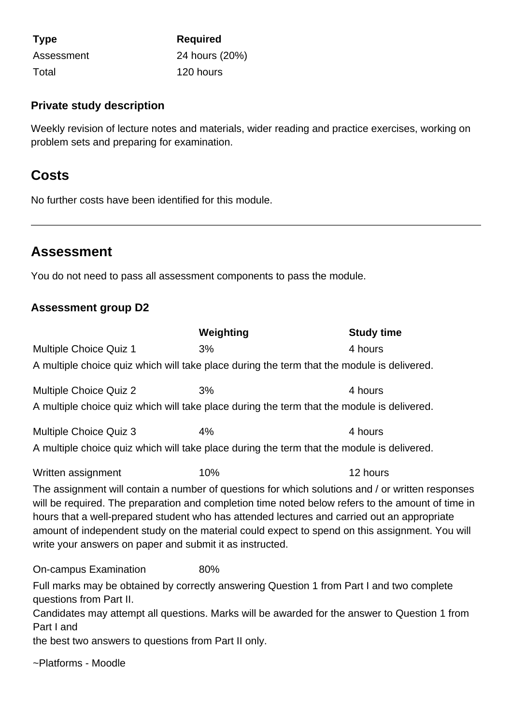| <b>Type</b> | <b>Required</b> |
|-------------|-----------------|
| Assessment  | 24 hours (20%)  |
| Total       | 120 hours       |

### **Private study description**

Weekly revision of lecture notes and materials, wider reading and practice exercises, working on problem sets and preparing for examination.

### **Costs**

No further costs have been identified for this module.

## **Assessment**

You do not need to pass all assessment components to pass the module.

### **Assessment group D2**

|                                                                                                                                                                                                                                                                                                                                                                                                                                                                    | Weighting | <b>Study time</b> |  |  |
|--------------------------------------------------------------------------------------------------------------------------------------------------------------------------------------------------------------------------------------------------------------------------------------------------------------------------------------------------------------------------------------------------------------------------------------------------------------------|-----------|-------------------|--|--|
| Multiple Choice Quiz 1                                                                                                                                                                                                                                                                                                                                                                                                                                             | 3%        | 4 hours           |  |  |
| A multiple choice quiz which will take place during the term that the module is delivered.                                                                                                                                                                                                                                                                                                                                                                         |           |                   |  |  |
| <b>Multiple Choice Quiz 2</b>                                                                                                                                                                                                                                                                                                                                                                                                                                      | 3%        | 4 hours           |  |  |
| A multiple choice quiz which will take place during the term that the module is delivered.                                                                                                                                                                                                                                                                                                                                                                         |           |                   |  |  |
| <b>Multiple Choice Quiz 3</b>                                                                                                                                                                                                                                                                                                                                                                                                                                      | 4%        | 4 hours           |  |  |
| A multiple choice quiz which will take place during the term that the module is delivered.                                                                                                                                                                                                                                                                                                                                                                         |           |                   |  |  |
| Written assignment                                                                                                                                                                                                                                                                                                                                                                                                                                                 | 10%       | 12 hours          |  |  |
| The assignment will contain a number of questions for which solutions and / or written responses<br>will be required. The preparation and completion time noted below refers to the amount of time in<br>hours that a well-prepared student who has attended lectures and carried out an appropriate<br>amount of independent study on the material could expect to spend on this assignment. You will<br>write your answers on paper and submit it as instructed. |           |                   |  |  |
| On-campus Examination                                                                                                                                                                                                                                                                                                                                                                                                                                              | 80%       |                   |  |  |
| Full marks may be obtained by correctly answering Question 1 from Part I and two complete<br>questions from Part II.                                                                                                                                                                                                                                                                                                                                               |           |                   |  |  |
| Candidates may attempt all questions. Marks will be awarded for the answer to Question 1 from<br>Part I and                                                                                                                                                                                                                                                                                                                                                        |           |                   |  |  |
| the best two answers to questions from Part II only.                                                                                                                                                                                                                                                                                                                                                                                                               |           |                   |  |  |
| ~Platforms - Moodle                                                                                                                                                                                                                                                                                                                                                                                                                                                |           |                   |  |  |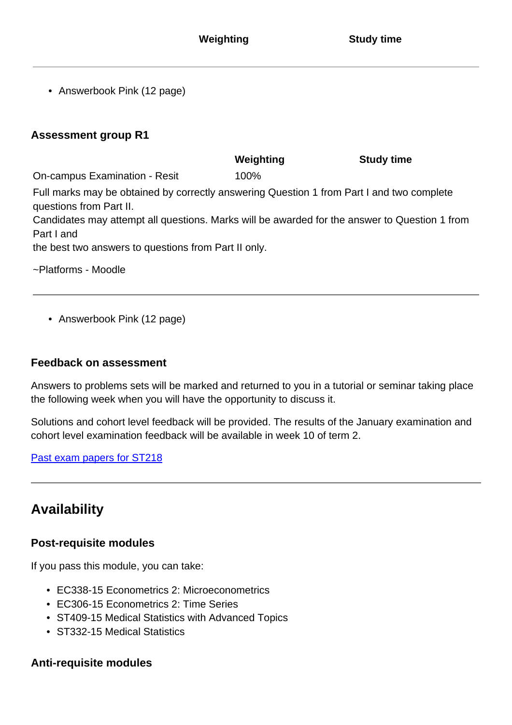• Answerbook Pink (12 page)

### **Assessment group R1**

|                                                                                                                      | Weighting | <b>Study time</b> |
|----------------------------------------------------------------------------------------------------------------------|-----------|-------------------|
| <b>On-campus Examination - Resit</b>                                                                                 | 100%      |                   |
| Full marks may be obtained by correctly answering Question 1 from Part I and two complete<br>questions from Part II. |           |                   |
| Candidates may attempt all questions. Marks will be awarded for the answer to Question 1 from<br>Part I and          |           |                   |
| the best two answers to questions from Part II only.                                                                 |           |                   |
| ~Platforms - Moodle                                                                                                  |           |                   |

• Answerbook Pink (12 page)

### **Feedback on assessment**

Answers to problems sets will be marked and returned to you in a tutorial or seminar taking place the following week when you will have the opportunity to discuss it.

Solutions and cohort level feedback will be provided. The results of the January examination and cohort level examination feedback will be available in week 10 of term 2.

[Past exam papers for ST218](https://warwick.ac.uk/exampapers?q=ST218)

# **Availability**

### **Post-requisite modules**

If you pass this module, you can take:

- EC338-15 Econometrics 2: Microeconometrics
- EC306-15 Econometrics 2: Time Series
- ST409-15 Medical Statistics with Advanced Topics
- ST332-15 Medical Statistics

### **Anti-requisite modules**